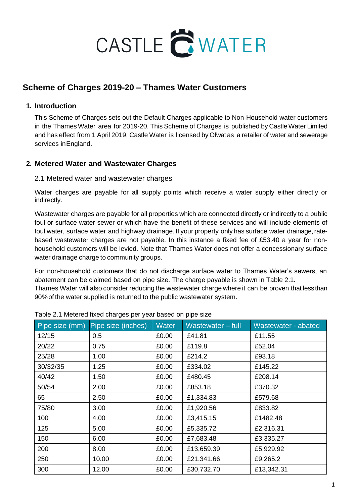

# **Scheme of Charges 2019-20 – Thames Water Customers**

## **1. Introduction**

This Scheme of Charges sets out the Default Charges applicable to Non-Household water customers in the Thames Water area for 2019-20. This Scheme of Charges is published by Castle Water Limited and has effect from 1 April 2019. Castle Water is licensed by Ofwat as a retailer of water and sewerage services inEngland.

## **2. Metered Water and Wastewater Charges**

#### 2.1 Metered water and wastewater charges

Water charges are payable for all supply points which receive a water supply either directly or indirectly.

Wastewater charges are payable for all properties which are connected directly or indirectly to a public foul or surface water sewer or which have the benefit of these services and will include elements of foul water, surface water and highway drainage. If your property only has surface water drainage, ratebased wastewater charges are not payable. In this instance a fixed fee of £53.40 a year for nonhousehold customers will be levied. Note that Thames Water does not offer a concessionary surface water drainage charge to community groups.

For non-household customers that do not discharge surface water to Thames Water's sewers, an abatement can be claimed based on pipe size. The charge payable is shown in Table 2.1. Thames Water will also consider reducing the wastewater charge where it can be proven that lessthan 90%of the water supplied is returned to the public wastewater system.

|          | Pipe size (mm) Pipe size (inches) | <b>Water</b> | Wastewater - full | Wastewater - abated |
|----------|-----------------------------------|--------------|-------------------|---------------------|
| 12/15    | 0.5                               | £0.00        | £41.81            | £11.55              |
| 20/22    | 0.75                              | £0.00        | £119.8            | £52.04              |
| 25/28    | 1.00                              | £0.00        | £214.2            | £93.18              |
| 30/32/35 | 1.25                              | £0.00        | £334.02           | £145.22             |
| 40/42    | 1.50                              | £0.00        | £480.45           | £208.14             |
| 50/54    | 2.00                              | £0.00        | £853.18           | £370.32             |
| 65       | 2.50                              | £0.00        | £1,334.83         | £579.68             |
| 75/80    | 3.00                              | £0.00        | £1,920.56         | £833.82             |
| 100      | 4.00                              | £0.00        | £3,415.15         | £1482.48            |
| 125      | 5.00                              | £0.00        | £5,335.72         | £2,316.31           |
| 150      | 6.00                              | £0.00        | £7,683.48         | £3,335.27           |
| 200      | 8.00                              | £0.00        | £13,659.39        | £5,929.92           |
| 250      | 10.00                             | £0.00        | £21,341.66        | £9,265.2            |
| 300      | 12.00                             | £0.00        | £30,732.70        | £13,342.31          |

Table 2.1 Metered fixed charges per year based on pipe size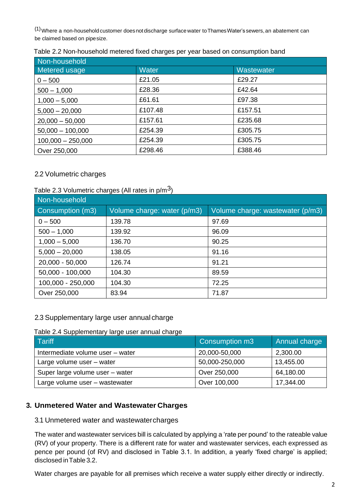(1)Where a non-household customer doesnot discharge surface water toThamesWater's sewers,an abatement can be claimed based on pipesize.

| Non-household       |              |            |
|---------------------|--------------|------------|
| Metered usage       | <b>Water</b> | Wastewater |
| $0 - 500$           | £21.05       | £29.27     |
| $500 - 1,000$       | £28.36       | £42.64     |
| $1,000 - 5,000$     | £61.61       | £97.38     |
| $5,000 - 20,000$    | £107.48      | £157.51    |
| $20,000 - 50,000$   | £157.61      | £235.68    |
| $50,000 - 100,000$  | £254.39      | £305.75    |
| $100,000 - 250,000$ | £254.39      | £305.75    |
| Over 250,000        | £298.46      | £388.46    |

| Table 2.2 Non-household metered fixed charges per year based on consumption band |  |  |
|----------------------------------------------------------------------------------|--|--|
|----------------------------------------------------------------------------------|--|--|

## 2.2 Volumetric charges

### Table 2.3 Volumetric charges (All rates in  $p/m<sup>3</sup>$ )

| Non-household     |                             |                                  |
|-------------------|-----------------------------|----------------------------------|
| Consumption (m3)  | Volume charge: water (p/m3) | Volume charge: wastewater (p/m3) |
| $0 - 500$         | 139.78                      | 97.69                            |
| $500 - 1,000$     | 139.92                      | 96.09                            |
| $1,000 - 5,000$   | 136.70                      | 90.25                            |
| $5,000 - 20,000$  | 138.05                      | 91.16                            |
| 20,000 - 50,000   | 126.74                      | 91.21                            |
| 50,000 - 100,000  | 104.30                      | 89.59                            |
| 100,000 - 250,000 | 104.30                      | 72.25                            |
| Over 250,000      | 83.94                       | 71.87                            |

### 2.3 Supplementary large user annual charge

#### Table 2.4 Supplementary large user annual charge

| Tariff                           | Consumption m3 | Annual charge |
|----------------------------------|----------------|---------------|
| Intermediate volume user - water | 20,000-50,000  | 2,300.00      |
| Large volume user - water        | 50,000-250,000 | 13,455.00     |
| Super large volume user - water  | Over 250,000   | 64,180.00     |
| Large volume user - wastewater   | Over 100,000   | 17,344.00     |

### **3. Unmetered Water and Wastewater Charges**

3.1 Unmetered water and wastewatercharges

The water and wastewater services bill is calculated by applying a 'rate per pound' to the rateable value (RV) of your property. There is a different rate for water and wastewater services, each expressed as pence per pound (of RV) and disclosed in Table 3.1. In addition, a yearly 'fixed charge' is applied; disclosed inTable 3.2.

Water charges are payable for all premises which receive a water supply either directly or indirectly.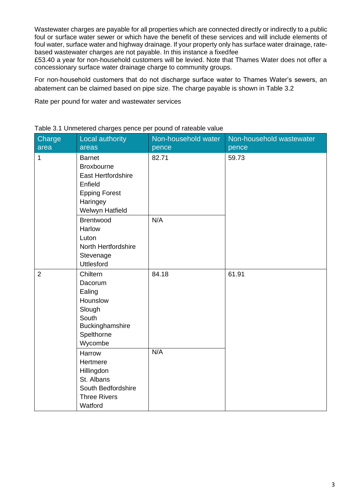Wastewater charges are payable for all properties which are connected directly or indirectly to a public foul or surface water sewer or which have the benefit of these services and will include elements of foul water, surface water and highway drainage. If your property only has surface water drainage, ratebased wastewater charges are not payable. In this instance a fixedfee

£53.40 a year for non-household customers will be levied. Note that Thames Water does not offer a concessionary surface water drainage charge to community groups.

For non-household customers that do not discharge surface water to Thames Water's sewers, an abatement can be claimed based on pipe size. The charge payable is shown in Table 3.2

Rate per pound for water and wastewater services

| Charge<br>area | <b>Local authority</b><br>areas                                                                                            | Non-household water<br>pence | Non-household wastewater<br>pence |
|----------------|----------------------------------------------------------------------------------------------------------------------------|------------------------------|-----------------------------------|
| $\mathbf{1}$   | <b>Barnet</b><br><b>Broxbourne</b><br>East Hertfordshire<br>Enfield<br><b>Epping Forest</b><br>Haringey<br>Welwyn Hatfield | 82.71                        | 59.73                             |
|                | <b>Brentwood</b><br>Harlow<br>Luton<br>North Hertfordshire<br>Stevenage<br><b>Uttlesford</b>                               | N/A                          |                                   |
| $\overline{2}$ | Chiltern<br>Dacorum<br>Ealing<br>Hounslow<br>Slough<br>South<br>Buckinghamshire<br>Spelthorne<br>Wycombe                   | 84.18                        | 61.91                             |
|                | Harrow<br>Hertmere<br>Hillingdon<br>St. Albans<br>South Bedfordshire<br><b>Three Rivers</b><br>Watford                     | N/A                          |                                   |

Table 3.1 Unmetered charges pence per pound of rateable value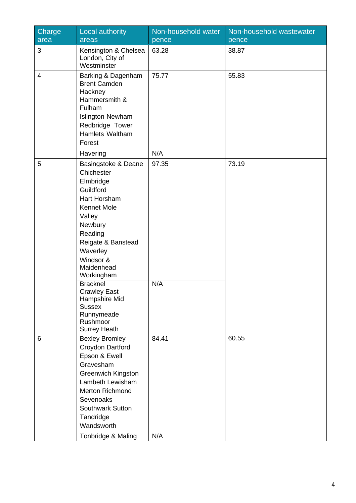| Charge<br>area | Local authority<br>areas                                                                                                                                                                                                        | Non-household water<br>pence | Non-household wastewater<br>pence |
|----------------|---------------------------------------------------------------------------------------------------------------------------------------------------------------------------------------------------------------------------------|------------------------------|-----------------------------------|
| 3              | Kensington & Chelsea<br>London, City of<br>Westminster                                                                                                                                                                          | 63.28                        | 38.87                             |
| $\overline{4}$ | Barking & Dagenham<br><b>Brent Camden</b><br>Hackney<br>Hammersmith &<br>Fulham<br><b>Islington Newham</b><br>Redbridge Tower<br>Hamlets Waltham<br>Forest                                                                      | 75.77                        | 55.83                             |
|                | Havering                                                                                                                                                                                                                        | N/A                          |                                   |
| 5              | Basingstoke & Deane<br>Chichester<br>Elmbridge<br>Guildford<br>Hart Horsham<br><b>Kennet Mole</b><br>Valley<br>Newbury<br>Reading<br>Reigate & Banstead<br>Waverley<br>Windsor &<br>Maidenhead<br>Workingham<br><b>Bracknel</b> | 97.35<br>N/A                 | 73.19                             |
|                | <b>Crawley East</b><br>Hampshire Mid<br><b>Sussex</b><br>Runnymeade<br>Rushmoor<br><b>Surrey Heath</b>                                                                                                                          |                              |                                   |
| 6              | <b>Bexley Bromley</b><br>Croydon Dartford<br>Epson & Ewell<br>Gravesham<br><b>Greenwich Kingston</b><br>Lambeth Lewisham<br><b>Merton Richmond</b><br>Sevenoaks<br><b>Southwark Sutton</b><br>Tandridge<br>Wandsworth           | 84.41                        | 60.55                             |
|                | Tonbridge & Maling                                                                                                                                                                                                              | N/A                          |                                   |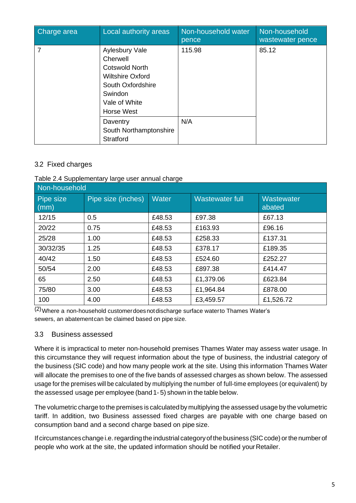| Charge area | Local authority areas                                                                                                                                | Non-household water<br>pence | Non-household<br>wastewater pence |
|-------------|------------------------------------------------------------------------------------------------------------------------------------------------------|------------------------------|-----------------------------------|
| 7           | Aylesbury Vale<br>Cherwell<br><b>Cotswold North</b><br><b>Wiltshire Oxford</b><br>South Oxfordshire<br>Swindon<br>Vale of White<br><b>Horse West</b> | 115.98                       | 85.12                             |
|             | Daventry<br>South Northamptonshire<br><b>Stratford</b>                                                                                               | N/A                          |                                   |

## 3.2 Fixed charges

#### Table 2.4 Supplementary large user annual charge

| Non-household     |                    |              |                 |                      |
|-------------------|--------------------|--------------|-----------------|----------------------|
| Pipe size<br>(mm) | Pipe size (inches) | <b>Water</b> | Wastewater full | Wastewater<br>abated |
| 12/15             | 0.5                | £48.53       | £97.38          | £67.13               |
| 20/22             | 0.75               | £48.53       | £163.93         | £96.16               |
| 25/28             | 1.00               | £48.53       | £258.33         | £137.31              |
| 30/32/35          | 1.25               | £48.53       | £378.17         | £189.35              |
| 40/42             | 1.50               | £48.53       | £524.60         | £252.27              |
| 50/54             | 2.00               | £48.53       | £897.38         | £414.47              |
| 65                | 2.50               | £48.53       | £1,379.06       | £623.84              |
| 75/80             | 3.00               | £48.53       | £1,964.84       | £878.00              |
| 100               | 4.00               | £48.53       | £3,459.57       | £1,526.72            |

(2)Where a non-household customerdoesnotdischarge surface waterto Thames Water's sewers, an abatementcan be claimed based on pipe size.

### 3.3 Business assessed

Where it is impractical to meter non-household premises Thames Water may assess water usage. In this circumstance they will request information about the type of business, the industrial category of the business (SIC code) and how many people work at the site. Using this information Thames Water will allocate the premises to one of the five bands of assessed charges as shown below. The assessed usage for the premises will be calculated by multiplying the number of full-time employees (or equivalent) by the assessed usage per employee (band 1- 5) shown in the table below.

The volumetric charge to the premises is calculatedby multiplying the assessed usage by the volumetric tariff. In addition, two Business assessed fixed charges are payable with one charge based on consumption band and a second charge based on pipe size.

If circumstances change i.e. regarding the industrial category of the business (SIC code) or the number of people who work at the site, the updated information should be notified your Retailer.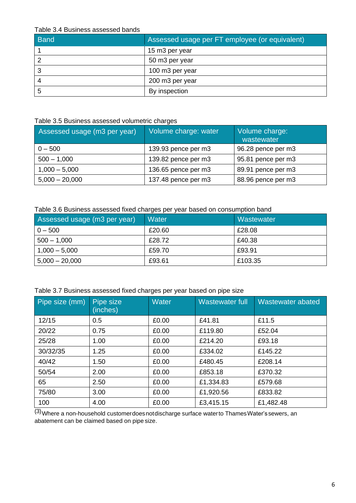#### Table 3.4 Business assessed bands

| <b>Band</b> | Assessed usage per FT employee (or equivalent) |
|-------------|------------------------------------------------|
|             | 15 m3 per year                                 |
|             | 50 m3 per year                                 |
|             | 100 m3 per year                                |
|             | 200 m3 per year                                |
| 5           | By inspection                                  |

#### Table 3.5 Business assessed volumetric charges

| Assessed usage (m3 per year) | Volume charge: water | Volume charge:<br>wastewater |
|------------------------------|----------------------|------------------------------|
| $0 - 500$                    | 139.93 pence per m3  | 96.28 pence per m3           |
| $500 - 1,000$                | 139.82 pence per m3  | 95.81 pence per m3           |
| $1,000 - 5,000$              | 136.65 pence per m3  | 89.91 pence per m3           |
| $5,000 - 20,000$             | 137.48 pence per m3  | 88.96 pence per m3           |

## Table 3.6 Business assessed fixed charges per year based on consumption band

| Assessed usage (m3 per year) | <b>Water</b> | <b>Wastewater</b> |
|------------------------------|--------------|-------------------|
| $0 - 500$                    | £20.60       | £28.08            |
| $500 - 1,000$                | £28.72       | £40.38            |
| $1,000 - 5,000$              | £59.70       | £93.91            |
| $5,000 - 20,000$             | £93.61       | £103.35           |

|  | Table 3.7 Business assessed fixed charges per year based on pipe size |  |  |  |  |
|--|-----------------------------------------------------------------------|--|--|--|--|
|  |                                                                       |  |  |  |  |
|  |                                                                       |  |  |  |  |

| Pipe size (mm) | Pipe size<br>(inches) | <b>Water</b> | <b>Wastewater full</b> | Wastewater abated |
|----------------|-----------------------|--------------|------------------------|-------------------|
| 12/15          | 0.5                   | £0.00        | £41.81                 | £11.5             |
| 20/22          | 0.75                  | £0.00        | £119.80                | £52.04            |
| 25/28          | 1.00                  | £0.00        | £214.20                | £93.18            |
| 30/32/35       | 1.25                  | £0.00        | £334.02                | £145.22           |
| 40/42          | 1.50                  | £0.00        | £480.45                | £208.14           |
| 50/54          | 2.00                  | £0.00        | £853.18                | £370.32           |
| 65             | 2.50                  | £0.00        | £1,334.83              | £579.68           |
| 75/80          | 3.00                  | £0.00        | £1,920.56              | £833.82           |
| 100            | 4.00                  | £0.00        | £3,415.15              | £1,482.48         |

 $\sqrt{(3)}$ Where a non-household customerdoes notdischarge surface waterto Thames Water's sewers, an abatement can be claimed based on pipe size.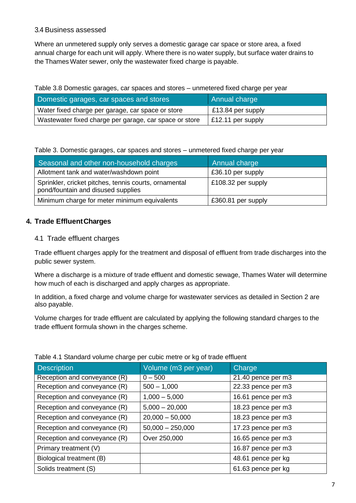#### 3.4 Business assessed

Where an unmetered supply only serves a domestic garage car space or store area, a fixed annual charge for each unit will apply. Where there is no water supply, but surface water drains to the Thames Water sewer, only the wastewater fixed charge is payable.

#### Table 3.8 Domestic garages, car spaces and stores – unmetered fixed charge per year

| Domestic garages, car spaces and stores                | Annual charge     |
|--------------------------------------------------------|-------------------|
| Water fixed charge per garage, car space or store      | £13.84 per supply |
| Wastewater fixed charge per garage, car space or store | £12.11 per supply |

#### Table 3. Domestic garages, car spaces and stores – unmetered fixed charge per year

| Seasonal and other non-household charges                                                    | Annual charge      |
|---------------------------------------------------------------------------------------------|--------------------|
| Allotment tank and water/washdown point                                                     | £36.10 per supply  |
| Sprinkler, cricket pitches, tennis courts, ornamental<br>pond/fountain and disused supplies | £108.32 per supply |
| Minimum charge for meter minimum equivalents                                                | £360.81 per supply |

## **4. Trade EffluentCharges**

### 4.1 Trade effluent charges

Trade effluent charges apply for the treatment and disposal of effluent from trade discharges into the public sewer system.

Where a discharge is a mixture of trade effluent and domestic sewage, Thames Water will determine how much of each is discharged and apply charges as appropriate.

In addition, a fixed charge and volume charge for wastewater services as detailed in Section 2 are also payable.

Volume charges for trade effluent are calculated by applying the following standard charges to the trade effluent formula shown in the charges scheme.

| rable 1.1 Diariaard volume onarge por cable metre or hy or trade childent |                      |                    |  |  |  |
|---------------------------------------------------------------------------|----------------------|--------------------|--|--|--|
| <b>Description</b>                                                        | Volume (m3 per year) | Charge             |  |  |  |
| Reception and conveyance (R)                                              | $0 - 500$            | 21.40 pence per m3 |  |  |  |
| Reception and conveyance (R)                                              | $500 - 1,000$        | 22.33 pence per m3 |  |  |  |
| Reception and conveyance (R)                                              | $1,000 - 5,000$      | 16.61 pence per m3 |  |  |  |
| Reception and conveyance (R)                                              | $5,000 - 20,000$     | 18.23 pence per m3 |  |  |  |
| Reception and conveyance (R)                                              | $20,000 - 50,000$    | 18.23 pence per m3 |  |  |  |
| Reception and conveyance (R)                                              | $50,000 - 250,000$   | 17.23 pence per m3 |  |  |  |
| Reception and conveyance (R)                                              | Over 250,000         | 16.65 pence per m3 |  |  |  |
| Primary treatment (V)                                                     |                      | 16.87 pence per m3 |  |  |  |
| Biological treatment (B)                                                  |                      | 48.61 pence per kg |  |  |  |
| Solids treatment (S)                                                      |                      | 61.63 pence per kg |  |  |  |

#### Table 4.1 Standard volume charge per cubic metre or kg of trade effluent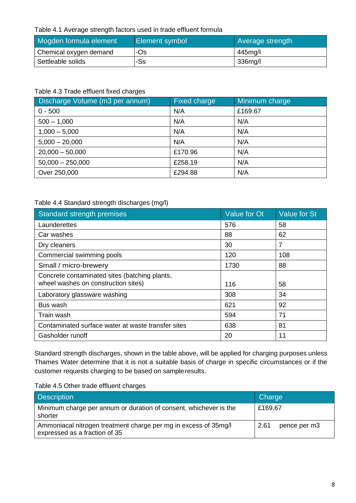#### Table 4.1 Average strength factors used in trade effluent formula

| Mogden formula element | <b>Element symbol</b> | <b>Average strength</b> |  |
|------------------------|-----------------------|-------------------------|--|
| Chemical oxygen demand | ⊦Os                   | 445mg/l                 |  |
| Settleable solids      | -Ss                   | 336mg/l                 |  |

#### Table 4.3 Trade effluent fixed charges

| Discharge Volume (m3 per annum) | <b>Fixed charge</b> | Minimum charge |
|---------------------------------|---------------------|----------------|
| $0 - 500$                       | N/A                 | £169.67        |
| $500 - 1,000$                   | N/A                 | N/A            |
| $1,000 - 5,000$                 | N/A                 | N/A            |
| $5,000 - 20,000$                | N/A                 | N/A            |
| $20,000 - 50,000$               | £170.96             | N/A            |
| $50,000 - 250,000$              | £258.19             | N/A            |
| Over 250,000                    | £294.88             | N/A            |

### Table 4.4 Standard strength discharges (mg/l)

| Standard strength premises                                                           | Value for Ot | <b>Value for St</b> |
|--------------------------------------------------------------------------------------|--------------|---------------------|
| Launderettes                                                                         | 576          | 58                  |
| Car washes                                                                           | 88           | 62                  |
| Dry cleaners                                                                         | 30           | 7                   |
| Commercial swimming pools                                                            | 120          | 108                 |
| Small / micro-brewery                                                                | 1730         | 88                  |
| Concrete contaminated sites (batching plants,<br>wheel washes on construction sites) | 116          | 58                  |
| Laboratory glassware washing                                                         | 308          | 34                  |
| Bus wash                                                                             | 621          | 92                  |
| Train wash                                                                           | 594          | 71                  |
| Contaminated surface water at waste transfer sites                                   | 638          | 81                  |
| Gasholder runoff                                                                     | 20           | 11                  |

Standard strength discharges, shown in the table above, will be applied for charging purposes unless Thames Water determine that it is not a suitable basis of charge in specific circumstances or if the customer requests charging to be based on sampleresults.

| Table 4.5 Other trade effluent charges |  |
|----------------------------------------|--|
|----------------------------------------|--|

| <b>Description</b>                                                                               | Charge               |
|--------------------------------------------------------------------------------------------------|----------------------|
| Minimum charge per annum or duration of consent, whichever is the<br>shorter                     | £169.67              |
| Ammoniacal nitrogen treatment charge per mg in excess of 35mg/l<br>expressed as a fraction of 35 | 2.61<br>pence per m3 |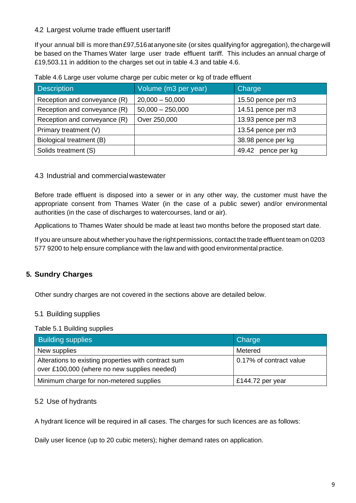## 4.2 Largest volume trade effluent usertariff

If your annual bill is more than £97,516 at anyone site (or sites qualifying for aggregation), the charge will be based on the Thames Water large user trade effluent tariff. This includes an annual charge of £19,503.11 in addition to the charges set out in table 4.3 and table 4.6.

| <b>Description</b>           | Volume (m3 per year) | Charge             |  |  |  |
|------------------------------|----------------------|--------------------|--|--|--|
| Reception and conveyance (R) | $20,000 - 50,000$    | 15.50 pence per m3 |  |  |  |
| Reception and conveyance (R) | $50,000 - 250,000$   | 14.51 pence per m3 |  |  |  |
| Reception and conveyance (R) | Over 250,000         | 13.93 pence per m3 |  |  |  |
| Primary treatment (V)        |                      | 13.54 pence per m3 |  |  |  |
| Biological treatment (B)     |                      | 38.98 pence per kg |  |  |  |
| Solids treatment (S)         |                      | 49.42 pence per kg |  |  |  |

Table 4.6 Large user volume charge per cubic meter or kg of trade effluent

### 4.3 Industrial and commercialwastewater

Before trade effluent is disposed into a sewer or in any other way, the customer must have the appropriate consent from Thames Water (in the case of a public sewer) and/or environmental authorities (in the case of discharges to watercourses, land or air).

Applications to Thames Water should be made at least two months before the proposed start date.

If you are unsure about whether you have the right permissions, contact the trade effluent team on 0203 577 9200 to help ensure compliance with the law and with good environmental practice.

## **5. Sundry Charges**

Other sundry charges are not covered in the sections above are detailed below.

### 5.1 Building supplies

Table 5.1 Building supplies

| <b>Building supplies</b>                                                                             | Charge                  |
|------------------------------------------------------------------------------------------------------|-------------------------|
| New supplies                                                                                         | Metered                 |
| Alterations to existing properties with contract sum<br>over £100,000 (where no new supplies needed) | 0.17% of contract value |
| Minimum charge for non-metered supplies                                                              | £144.72 per year        |

## 5.2 Use of hydrants

A hydrant licence will be required in all cases. The charges for such licences are as follows:

Daily user licence (up to 20 cubic meters); higher demand rates on application.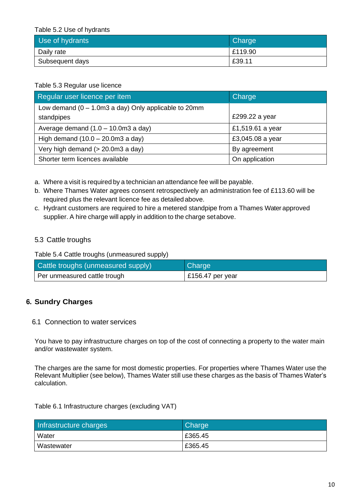Table 5.2 Use of hydrants

| Use of hydrants | <b>Charge</b> |
|-----------------|---------------|
| Daily rate      | E119.90       |
| Subsequent days | £39.11        |

## Table 5.3 Regular use licence

| Regular user licence per item                                          | Charge           |
|------------------------------------------------------------------------|------------------|
| Low demand $(0 - 1.0 \text{m}3 \text{ a day})$ Only applicable to 20mm |                  |
| standpipes                                                             | £299.22 a year   |
| Average demand $(1.0 - 10.0 \text{m}3 \text{ a day})$                  | £1,519.61 a year |
| High demand $(10.0 - 20.0 \text{m}3 \text{ a day})$                    | £3,045.08 a year |
| Very high demand (> 20.0m3 a day)                                      | By agreement     |
| Shorter term licences available                                        | On application   |

a. Where a visit is required by a technician an attendance fee will be payable.

- b. Where Thames Water agrees consent retrospectively an administration fee of £113.60 will be required plus the relevant licence fee as detailed above.
- c. Hydrant customers are required to hire a metered standpipe from a Thames Water approved supplier. A hire charge will apply in addition to the charge setabove.

## 5.3 Cattle troughs

Table 5.4 Cattle troughs (unmeasured supply)

| Cattle troughs (unmeasured supply) | Charge                   |
|------------------------------------|--------------------------|
| Per unmeasured cattle trough       | $\vert$ £156.47 per year |

## **6. Sundry Charges**

#### 6.1 Connection to water services

You have to pay infrastructure charges on top of the cost of connecting a property to the water main and/or wastewater system.

The charges are the same for most domestic properties. For properties where Thames Water use the Relevant Multiplier (see below), Thames Water still use these charges as the basis of Thames Water's calculation.

#### Table 6.1 Infrastructure charges (excluding VAT)

| Infrastructure charges | <b>Charge</b> |
|------------------------|---------------|
| Water                  | £365.45       |
| Wastewater             | £365.45       |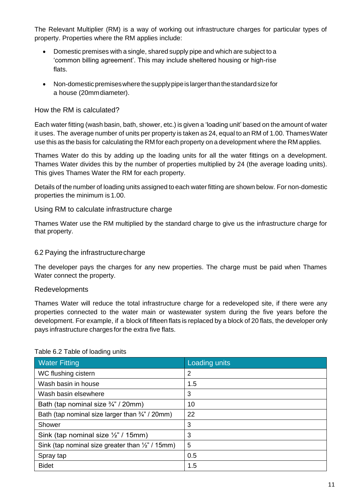The Relevant Multiplier (RM) is a way of working out infrastructure charges for particular types of property. Properties where the RM applies include:

- Domestic premises with a single, shared supply pipe and which are subject to a 'common billing agreement'. This may include sheltered housing or high-rise flats.
- Non-domesticpremiseswhere thesupplypipeis largerthanthestandardsizefor a house (20mmdiameter).

## How the RM is calculated?

Each water fitting (wash basin, bath, shower, etc.) is given a 'loading unit' based on the amount of water it uses. The average number of units per property is taken as 24, equal to an RM of 1.00. Thames Water use this as the basis for calculating the RM for each property on a development where the RM applies.

Thames Water do this by adding up the loading units for all the water fittings on a development. Thames Water divides this by the number of properties multiplied by 24 (the average loading units). This gives Thames Water the RM for each property.

Details of the number of loading units assigned to each water fitting are shown below. For non-domestic properties the minimum is 1.00.

#### Using RM to calculate infrastructure charge

Thames Water use the RM multiplied by the standard charge to give us the infrastructure charge for that property.

### 6.2 Paying the infrastructurecharge

The developer pays the charges for any new properties. The charge must be paid when Thames Water connect the property.

### Redevelopments

Thames Water will reduce the total infrastructure charge for a redeveloped site, if there were any properties connected to the water main or wastewater system during the five years before the development. For example, if a block of fifteen flats is replaced by a block of 20 flats, the developer only pays infrastructure charges for the extra five flats.

| <b>Water Fitting</b>                                       | Loading units |
|------------------------------------------------------------|---------------|
| WC flushing cistern                                        | 2             |
| Wash basin in house                                        | 1.5           |
| Wash basin elsewhere                                       | 3             |
| Bath (tap nominal size $\frac{3}{4}$ " / 20mm)             | 10            |
| Bath (tap nominal size larger than $\frac{3}{4}$ " / 20mm) | 22            |
| Shower                                                     | 3             |
| Sink (tap nominal size $\frac{1}{2}$ " / 15mm)             | 3             |
| Sink (tap nominal size greater than 1/2" / 15mm)           | 5             |
| Spray tap                                                  | 0.5           |
| <b>Bidet</b>                                               | 1.5           |

#### Table 6.2 Table of loading units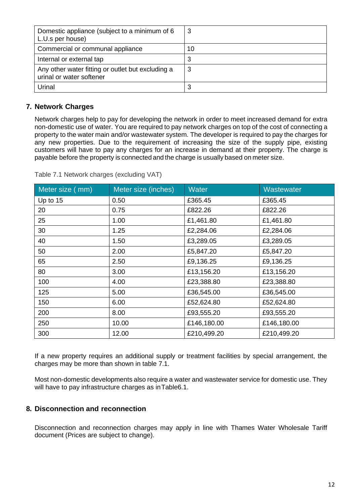| Domestic appliance (subject to a minimum of 6<br>L.U.s per house)             | 3  |
|-------------------------------------------------------------------------------|----|
| Commercial or communal appliance                                              | 10 |
| Internal or external tap                                                      | 3  |
| Any other water fitting or outlet but excluding a<br>urinal or water softener | 3  |
| Urinal                                                                        |    |

## **7. Network Charges**

Network charges help to pay for developing the network in order to meet increased demand for extra non-domestic use of water. You are required to pay network charges on top of the cost of connecting a property to the water main and/or wastewater system. The developer is required to pay the charges for any new properties. Due to the requirement of increasing the size of the supply pipe, existing customers will have to pay any charges for an increase in demand at their property. The charge is payable before the property is connected and the charge is usually based on meter size.

| Meter size (mm) | Meter size (inches) | <b>Water</b> | Wastewater  |
|-----------------|---------------------|--------------|-------------|
| Up to 15        | 0.50                | £365.45      | £365.45     |
| 20              | 0.75                | £822.26      | £822.26     |
| 25              | 1.00                | £1,461.80    | £1,461.80   |
| 30              | 1.25                | £2,284.06    | £2,284.06   |
| 40              | 1.50                | £3,289.05    | £3,289.05   |
| 50              | 2.00                | £5,847.20    | £5,847.20   |
| 65              | 2.50                | £9,136.25    | £9,136.25   |
| 80              | 3.00                | £13,156.20   | £13,156.20  |
| 100             | 4.00                | £23,388.80   | £23,388.80  |
| 125             | 5.00                | £36,545.00   | £36,545.00  |
| 150             | 6.00                | £52,624.80   | £52,624.80  |
| 200             | 8.00                | £93,555.20   | £93,555.20  |
| 250             | 10.00               | £146,180.00  | £146,180.00 |
| 300             | 12.00               | £210,499.20  | £210,499.20 |

Table 7.1 Network charges (excluding VAT)

If a new property requires an additional supply or treatment facilities by special arrangement, the charges may be more than shown in table 7.1.

Most non-domestic developments also require a water and wastewater service for domestic use. They will have to pay infrastructure charges as inTable6.1.

### **8. Disconnection and reconnection**

Disconnection and reconnection charges may apply in line with Thames Water Wholesale Tariff document (Prices are subject to change).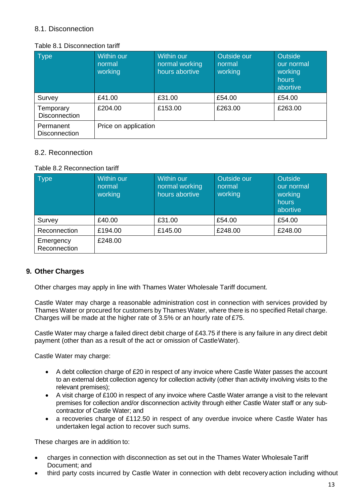## 8.1. Disconnection

#### Table 8.1 Disconnection tariff

| <b>Type</b>                       | <b>Within our</b><br>normal<br>working | Within our<br>normal working<br>hours abortive | Outside our<br>normal<br>working | <b>Outside</b><br>our normal<br>working<br>hours<br>abortive |
|-----------------------------------|----------------------------------------|------------------------------------------------|----------------------------------|--------------------------------------------------------------|
| Survey                            | £41.00                                 | £31.00                                         | £54.00                           | £54.00                                                       |
| Temporary<br><b>Disconnection</b> | £204.00                                | £153.00                                        | £263.00                          | £263.00                                                      |
| Permanent<br><b>Disconnection</b> | Price on application                   |                                                |                                  |                                                              |

### 8.2. Reconnection

#### Table 8.2 Reconnection tariff

| <b>Type</b>               | <b>Within our</b><br>normal<br>working | Within our<br>normal working<br>hours abortive | Outside our<br>normal<br>working | <b>Outside</b><br>our normal<br>working<br>hours<br>abortive |
|---------------------------|----------------------------------------|------------------------------------------------|----------------------------------|--------------------------------------------------------------|
| Survey                    | £40.00                                 | £31.00                                         | £54.00                           | £54.00                                                       |
| Reconnection              | £194.00                                | £145.00                                        | £248.00                          | £248.00                                                      |
| Emergency<br>Reconnection | £248.00                                |                                                |                                  |                                                              |

### **9. Other Charges**

Other charges may apply in line with Thames Water Wholesale Tariff document.

Castle Water may charge a reasonable administration cost in connection with services provided by Thames Water or procured for customers by Thames Water, where there is no specified Retail charge. Charges will be made at the higher rate of 3.5% or an hourly rate of £75.

Castle Water may charge a failed direct debit charge of £43.75 if there is any failure in any direct debit payment (other than as a result of the act or omission of CastleWater).

Castle Water may charge:

- A debt collection charge of £20 in respect of any invoice where Castle Water passes the account to an external debt collection agency for collection activity (other than activity involving visits to the relevant premises);
- A visit charge of £100 in respect of any invoice where Castle Water arrange a visit to the relevant premises for collection and/or disconnection activity through either Castle Water staff or any subcontractor of Castle Water; and
- a recoveries charge of £112.50 in respect of any overdue invoice where Castle Water has undertaken legal action to recover such sums.

These charges are in addition to:

- charges in connection with disconnection as set out in the Thames Water WholesaleTariff Document; and
- third party costs incurred by Castle Water in connection with debt recovery action including without